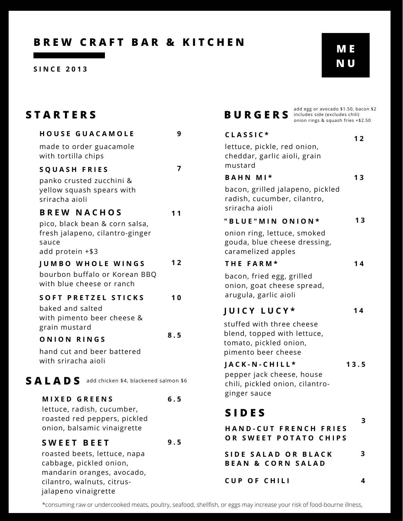**S I N C E 2 0 1 3**

| $\bm{v}_i$ | ⊐ |
|------------|---|
|            | Н |

| <b>STARTERS</b>                                                                                                                             |     | add egg or avocado \$1.50, baco<br><b>BURGERS</b><br>includes side (excludes chili)<br>onion rings & squash fries +\$2. |      |  |
|---------------------------------------------------------------------------------------------------------------------------------------------|-----|-------------------------------------------------------------------------------------------------------------------------|------|--|
| <b>HOUSE GUACAMOLE</b>                                                                                                                      | 9   | CLASSIC*                                                                                                                | $12$ |  |
| made to order guacamole<br>with tortilla chips                                                                                              |     | lettuce, pickle, red onion,<br>cheddar, garlic aioli, grain                                                             |      |  |
| <b>SQUASH FRIES</b>                                                                                                                         | 7   | mustard                                                                                                                 |      |  |
| panko crusted zucchini &<br>yellow squash spears with<br>sriracha aioli                                                                     |     | BAHN MI*<br>bacon, grilled jalapeno, pickled<br>radish, cucumber, cilantro,                                             | 13   |  |
| <b>BREW NACHOS</b>                                                                                                                          | 11  | sriracha aioli                                                                                                          | 13   |  |
| pico, black bean & corn salsa,                                                                                                              |     | "BLUE"MIN ONION*                                                                                                        |      |  |
| fresh jalapeno, cilantro-ginger<br>sauce<br>add protein +\$3                                                                                |     | onion ring, lettuce, smoked<br>gouda, blue cheese dressing,<br>caramelized apples                                       |      |  |
| <b>JUMBO WHOLE WINGS</b>                                                                                                                    | 12  | THE FARM*                                                                                                               | 14   |  |
| bourbon buffalo or Korean BBQ<br>with blue cheese or ranch                                                                                  |     | bacon, fried egg, grilled<br>onion, goat cheese spread,                                                                 |      |  |
| <b>SOFT PRETZEL STICKS</b>                                                                                                                  | 10  | arugula, garlic aioli                                                                                                   |      |  |
| baked and salted<br>with pimento beer cheese &<br>grain mustard                                                                             |     | JUICY LUCY*<br>stuffed with three cheese                                                                                | 14   |  |
| ONION RINGS                                                                                                                                 | 8.5 | blend, topped with lettuce,                                                                                             |      |  |
| hand cut and beer battered<br>with sriracha aioli                                                                                           |     | tomato, pickled onion,<br>pimento beer cheese                                                                           |      |  |
|                                                                                                                                             |     | JACK-N-CHILL*                                                                                                           | 13.5 |  |
| SALADS add chicken \$4, blackened salmon \$6                                                                                                |     | pepper jack cheese, house<br>chili, pickled onion, cilantro-                                                            |      |  |
| <b>MIXED GREENS</b>                                                                                                                         | 6.5 | ginger sauce                                                                                                            |      |  |
| lettuce, radish, cucumber,<br>roasted red peppers, pickled                                                                                  |     | <b>SIDES</b>                                                                                                            |      |  |
| onion, balsamic vinaigrette                                                                                                                 |     | HAND-CUT FRENCH FRIES                                                                                                   | 3    |  |
| <b>SWEET BEET</b>                                                                                                                           | 9.5 | OR SWEET POTATO CHIPS                                                                                                   |      |  |
| roasted beets, lettuce, napa<br>cabbage, pickled onion,<br>mandarin oranges, avocado,<br>cilantro, walnuts, citrus-<br>jalapeno vinaigrette |     | SIDE SALAD OR BLACK<br><b>BEAN &amp; CORN SALAD</b>                                                                     | 3    |  |
|                                                                                                                                             |     | <b>CUP OF CHILI</b>                                                                                                     | 4    |  |

| add egg or avocado \$1.50, bacon \$2<br><b>BURGERS</b><br>includes side (excludes chili)<br>onion rings & squash fries +\$2.50                            |      |
|-----------------------------------------------------------------------------------------------------------------------------------------------------------|------|
| CLASSIC*                                                                                                                                                  | 12   |
| lettuce, pickle, red onion,<br>cheddar, garlic aioli, grain<br>mustard                                                                                    |      |
| BAHN MI*                                                                                                                                                  | 13   |
| bacon, grilled jalapeno, pickled<br>radish, cucumber, cilantro,<br>sriracha aioli                                                                         |      |
| "BLUE"MIN ONION*                                                                                                                                          | 13   |
| onion ring, lettuce, smoked<br>gouda, blue cheese dressing,<br>caramelized apples<br>THE FARM*<br>bacon, fried egg, grilled<br>onion, goat cheese spread, | 14   |
| arugula, garlic aioli                                                                                                                                     |      |
| <b>JUICY LUCY*</b>                                                                                                                                        | 14   |
| stuffed with three cheese<br>blend, topped with lettuce,<br>tomato, pickled onion,<br>pimento beer cheese                                                 |      |
| JACK-N-CHILL*                                                                                                                                             | 13.5 |
| pepper jack cheese, house<br>chili, pickled onion, cilantro-<br>ginger sauce                                                                              |      |
| <b>SIDES</b>                                                                                                                                              |      |
| <b>HAND-CUT FRENCH FRIES</b><br>OR SWEET POTATO CHIPS                                                                                                     | 3    |
| SIDE SALAD OR BLACK<br><b>BEAN &amp; CORN SALAD</b>                                                                                                       | 3    |

\*consuming raw or undercooked meats, poultry, seafood, shellfish, or eggs may increase your risk of food-bourne illness,